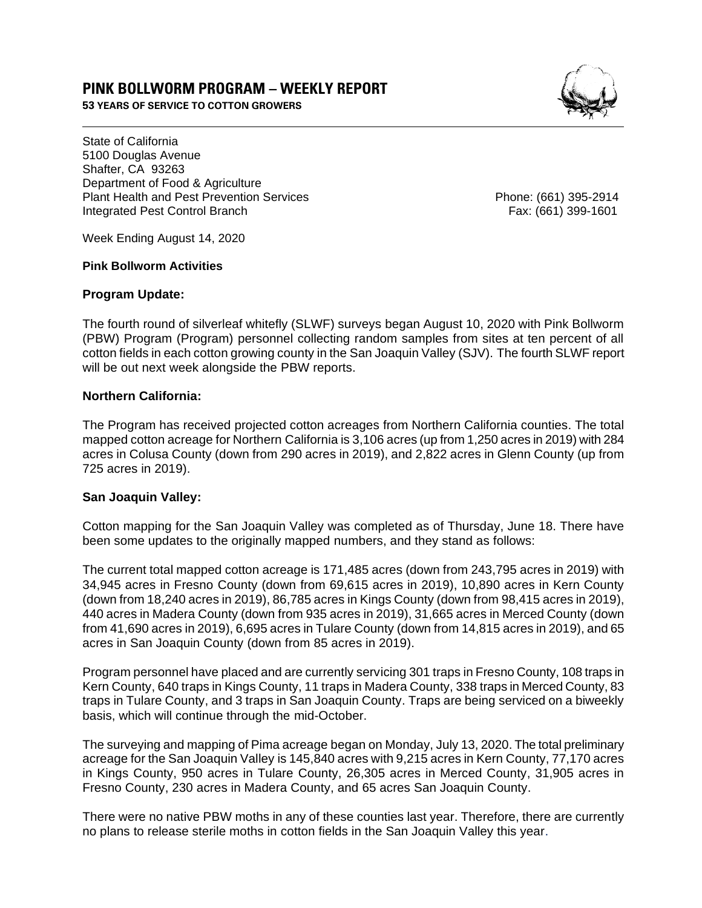# **PINK BOLLWORM PROGRAM – WEEKLY REPORT**

**53 YEARS OF SERVICE TO COTTON GROWERS** 



State of California 5100 Douglas Avenue Shafter, CA 93263 Department of Food & Agriculture Plant Health and Pest Prevention Services Phone: (661) 395-2914 Integrated Pest Control Branch Fax: (661) 399-1601

Week Ending August 14, 2020

#### **Pink Bollworm Activities**

#### **Program Update:**

The fourth round of silverleaf whitefly (SLWF) surveys began August 10, 2020 with Pink Bollworm (PBW) Program (Program) personnel collecting random samples from sites at ten percent of all cotton fields in each cotton growing county in the San Joaquin Valley (SJV). The fourth SLWF report will be out next week alongside the PBW reports.

## **Northern California:**

The Program has received projected cotton acreages from Northern California counties. The total mapped cotton acreage for Northern California is 3,106 acres (up from 1,250 acres in 2019) with 284 acres in Colusa County (down from 290 acres in 2019), and 2,822 acres in Glenn County (up from 725 acres in 2019).

## **San Joaquin Valley:**

Cotton mapping for the San Joaquin Valley was completed as of Thursday, June 18. There have been some updates to the originally mapped numbers, and they stand as follows:

The current total mapped cotton acreage is 171,485 acres (down from 243,795 acres in 2019) with 34,945 acres in Fresno County (down from 69,615 acres in 2019), 10,890 acres in Kern County (down from 18,240 acres in 2019), 86,785 acres in Kings County (down from 98,415 acres in 2019), 440 acres in Madera County (down from 935 acres in 2019), 31,665 acres in Merced County (down from 41,690 acres in 2019), 6,695 acres in Tulare County (down from 14,815 acres in 2019), and 65 acres in San Joaquin County (down from 85 acres in 2019).

Program personnel have placed and are currently servicing 301 traps in Fresno County, 108 traps in Kern County, 640 traps in Kings County, 11 traps in Madera County, 338 traps in Merced County, 83 traps in Tulare County, and 3 traps in San Joaquin County. Traps are being serviced on a biweekly basis, which will continue through the mid-October.

The surveying and mapping of Pima acreage began on Monday, July 13, 2020. The total preliminary acreage for the San Joaquin Valley is 145,840 acres with 9,215 acres in Kern County, 77,170 acres in Kings County, 950 acres in Tulare County, 26,305 acres in Merced County, 31,905 acres in Fresno County, 230 acres in Madera County, and 65 acres San Joaquin County.

There were no native PBW moths in any of these counties last year. Therefore, there are currently no plans to release sterile moths in cotton fields in the San Joaquin Valley this year.